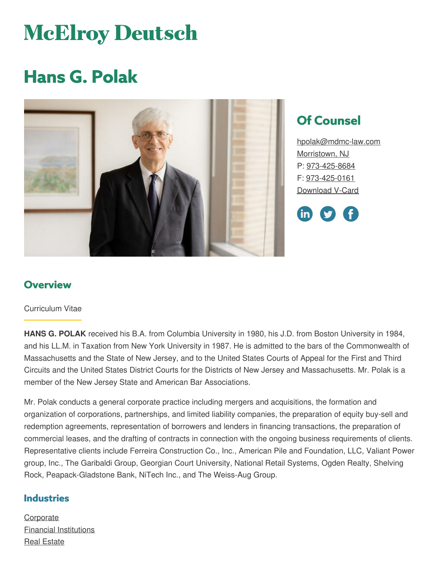# **McElroy Deutsch**

## **Hans G. Polak**



## **Of Counsel**

[hpolak@mdmc-law.com](mailto:hpolak@mdmc-law.com) [Morristown,](https://www.mdmc-law.com/offices/morristown) NJ P: [973-425-8684](tel:973-425-8684) F: [973-425-0161](tel:973-425-0161) [Download](https://www.mdmc-law.com/node/170/vcard) V-Card



#### **Overview**

#### Curriculum Vitae

**HANS G. POLAK** received his B.A. from Columbia University in 1980, his J.D. from Boston University in 1984, and his LL.M. in Taxation from New York University in 1987. He is admitted to the bars of the Commonwealth of Massachusetts and the State of New Jersey, and to the United States Courts of Appeal for the First and Third Circuits and the United States District Courts for the Districts of New Jersey and Massachusetts. Mr. Polak is a member of the New Jersey State and American Bar Associations.

Mr. Polak conducts a general corporate practice including mergers and acquisitions, the formation and organization of corporations, partnerships, and limited liability companies, the preparation of equity buy-sell and redemption agreements, representation of borrowers and lenders in financing transactions, the preparation of commercial leases, and the drafting of contracts in connection with the ongoing business requirements of clients. Representative clients include Ferreira Construction Co., Inc., American Pile and Foundation, LLC, Valiant Power group, Inc., The Garibaldi Group, Georgian Court University, National Retail Systems, Ogden Realty, Shelving Rock, Peapack-Gladstone Bank, NiTech Inc., and The Weiss-Aug Group.

#### **Industries**

**[Corporate](https://www.mdmc-law.com/industries/corporate)** Financial [Institutions](https://www.mdmc-law.com/industries/financial-institutions) Real [Estate](https://www.mdmc-law.com/industries/real-estate)